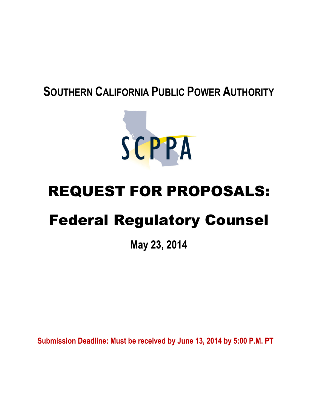# **SOUTHERN CALIFORNIA PUBLIC POWER AUTHORITY**



# REQUEST FOR PROPOSALS:

# Federal Regulatory Counsel

**May 23, 2014**

**Submission Deadline: Must be received by June 13, 2014 by 5:00 P.M. PT**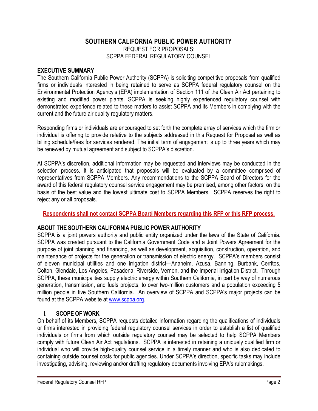# **SOUTHERN CALIFORNIA PUBLIC POWER AUTHORITY** REQUEST FOR PROPOSALS: SCPPA FEDERAL REGULATORY COUNSEL

#### **EXECUTIVE SUMMARY**

The Southern California Public Power Authority (SCPPA) is soliciting competitive proposals from qualified firms or individuals interested in being retained to serve as SCPPA federal regulatory counsel on the Environmental Protection Agency's (EPA) implementation of Section 111 of the Clean Air Act pertaining to existing and modified power plants. SCPPA is seeking highly experienced regulatory counsel with demonstrated experience related to these matters to assist SCPPA and its Members in complying with the current and the future air quality regulatory matters.

Responding firms or individuals are encouraged to set forth the complete array of services which the firm or individual is offering to provide relative to the subjects addressed in this Request for Proposal as well as billing schedule/fees for services rendered. The initial term of engagement is up to three years which may be renewed by mutual agreement and subject to SCPPA's discretion.

At SCPPA's discretion, additional information may be requested and interviews may be conducted in the selection process. It is anticipated that proposals will be evaluated by a committee comprised of representatives from SCPPA Members. Any recommendations to the SCPPA Board of Directors for the award of this federal regulatory counsel service engagement may be premised, among other factors, on the basis of the best value and the lowest ultimate cost to SCPPA Members. SCPPA reserves the right to reject any or all proposals.

#### **Respondents shall not contact SCPPA Board Members regarding this RFP or this RFP process.**

## **ABOUT THE SOUTHERN CALIFORNIA PUBLIC POWER AUTHORITY**

SCPPA is a joint powers authority and public entity organized under the laws of the State of California. SCPPA was created pursuant to the California Government Code and a Joint Powers Agreement for the purpose of joint planning and financing, as well as development, acquisition, construction, operation, and maintenance of projects for the generation or transmission of electric energy. SCPPA's members consist of eleven municipal utilities and one irrigation district—Anaheim, Azusa, Banning, Burbank, Cerritos, Colton, Glendale, Los Angeles, Pasadena, Riverside, Vernon, and the Imperial Irrigation District. Through SCPPA, these municipalities supply electric energy within Southern California, in part by way of numerous generation, transmission, and fuels projects, to over two-million customers and a population exceeding 5 million people in five Southern California. An overview of SCPPA and SCPPA's major projects can be found at the SCPPA website at [www.scppa.org](http://www.scppa.org/).

## **I. SCOPE OF WORK**

On behalf of its Members, SCPPA requests detailed information regarding the qualifications of individuals or firms interested in providing federal regulatory counsel services in order to establish a list of qualified individuals or firms from which outside regulatory counsel may be selected to help SCPPA Members comply with future Clean Air Act regulations. SCPPA is interested in retaining a uniquely qualified firm or individual who will provide high-quality counsel service in a timely manner and who is also dedicated to containing outside counsel costs for public agencies. Under SCPPA's direction, specific tasks may include investigating, advising, reviewing and/or drafting regulatory documents involving EPA's rulemakings.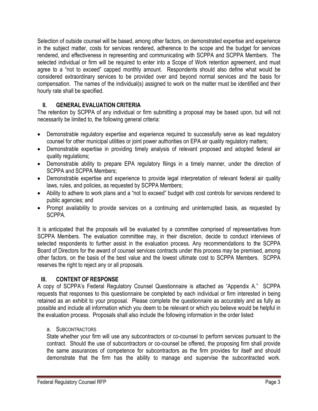Selection of outside counsel will be based, among other factors, on demonstrated expertise and experience in the subject matter, costs for services rendered, adherence to the scope and the budget for services rendered, and effectiveness in representing and communicating with SCPPA and SCPPA Members. The selected individual or firm will be required to enter into a Scope of Work retention agreement, and must agree to a "not to exceed" capped monthly amount. Respondents should also define what would be considered extraordinary services to be provided over and beyond normal services and the basis for compensation. The names of the individual(s) assigned to work on the matter must be identified and their hourly rate shall be specified.

# **II. GENERAL EVALUATION CRITERIA**

The retention by SCPPA of any individual or firm submitting a proposal may be based upon, but will not necessarily be limited to, the following general criteria:

- Demonstrable regulatory expertise and experience required to successfully serve as lead regulatory counsel for other municipal utilities or joint power authorities on EPA air quality regulatory matters;
- Demonstrable expertise in providing timely analysis of relevant proposed and adopted federal air quality regulations;
- Demonstrable ability to prepare EPA regulatory filings in a timely manner, under the direction of SCPPA and SCPPA Members;
- Demonstrable expertise and experience to provide legal interpretation of relevant federal air quality laws, rules, and policies, as requested by SCPPA Members;
- Ability to adhere to work plans and a "not to exceed" budget with cost controls for services rendered to public agencies; and
- Prompt availability to provide services on a continuing and uninterrupted basis, as requested by SCPPA.

It is anticipated that the proposals will be evaluated by a committee comprised of representatives from SCPPA Members. The evaluation committee may, in their discretion, decide to conduct interviews of selected respondents to further assist in the evaluation process. Any recommendations to the SCPPA Board of Directors for the award of counsel services contracts under this process may be premised, among other factors, on the basis of the best value and the lowest ultimate cost to SCPPA Members. SCPPA reserves the right to reject any or all proposals.

## **III. CONTENT OF RESPONSE**

A copy of SCPPA's Federal Regulatory Counsel Questionnaire is attached as "Appendix A." SCPPA requests that responses to this questionnaire be completed by each individual or firm interested in being retained as an exhibit to your proposal. Please complete the questionnaire as accurately and as fully as possible and include all information which you deem to be relevant or which you believe would be helpful in the evaluation process. Proposals shall also include the following information in the order listed:

## a. SUBCONTRACTORS

State whether your firm will use any subcontractors or co-counsel to perform services pursuant to the contract. Should the use of subcontractors or co-counsel be offered, the proposing firm shall provide the same assurances of competence for subcontractors as the firm provides for itself and should demonstrate that the firm has the ability to manage and supervise the subcontracted work.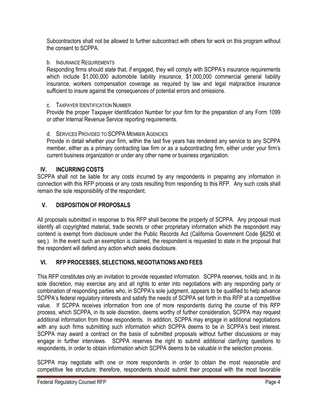Subcontractors shall not be allowed to further subcontract with others for work on this program without the consent to SCPPA.

# b. INSURANCE REQUIREMENTS

Responding firms should state that, if engaged, they will comply with SCPPA's insurance requirements which include \$1,000,000 automobile liability insurance, \$1,000,000 commercial general liability insurance, workers compensation coverage as required by law and legal malpractice insurance sufficient to insure against the consequences of potential errors and omissions.

# c. TAXPAYER IDENTIFICATION NUMBER

Provide the proper Taxpayer Identification Number for your firm for the preparation of any Form 1099 or other Internal Revenue Service reporting requirements.

# d. SERVICES PROVIDED TO SCPPA MEMBER AGENCIES

Provide in detail whether your firm, within the last five years has rendered any service to any SCPPA member, either as a primary contracting law firm or as a subcontracting firm, either under your firm's current business organization or under any other name or business organization.

# **IV. INCURRING COSTS**

SCPPA shall not be liable for any costs incurred by any respondents in preparing any information in connection with this RFP process or any costs resulting from responding to this RFP. Any such costs shall remain the sole responsibility of the respondent.

# **V. DISPOSITION OF PROPOSALS**

All proposals submitted in response to this RFP shall become the property of SCPPA. Any proposal must identify all copyrighted material, trade secrets or other proprietary information which the respondent may contend is exempt from disclosure under the Public Records Act (California Government Code §6250 et seq.). In the event such an exemption is claimed, the respondent is requested to state in the proposal that the respondent will defend any action which seeks disclosure.

# **VI. RFP PROCESSES, SELECTIONS, NEGOTIATIONS AND FEES**

This RFP constitutes only an invitation to provide requested information. SCPPA reserves, holds and, in its sole discretion, may exercise any and all rights to enter into negotiations with any responding party or combination of responding parties who, in SCPPA's sole judgment, appears to be qualified to help advance SCPPA's federal regulatory interests and satisfy the needs of SCPPA set forth in this RFP at a competitive value. If SCPPA receives information from one of more respondents during the course of this RFP process, which SCPPA, in its sole discretion, deems worthy of further consideration, SCPPA may request additional information from those respondents. In addition, SCPPA may engage in additional negotiations with any such firms submitting such information which SCPPA deems to be in SCPPA's best interest. SCPPA may award a contract on the basis of submitted proposals without further discussions or may engage in further interviews. SCPPA reserves the right to submit additional clarifying questions to respondents, in order to obtain information which SCPPA deems to be valuable in the selection process.

SCPPA may negotiate with one or more respondents in order to obtain the most reasonable and competitive fee structure; therefore, respondents should submit their proposal with the most favorable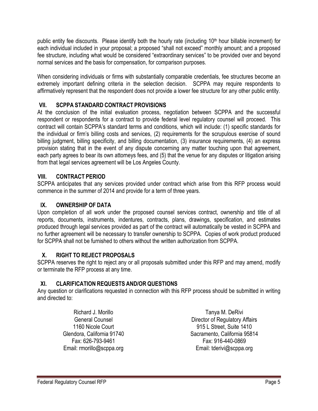public entity fee discounts. Please identify both the hourly rate (including  $10<sup>th</sup>$  hour billable increment) for each individual included in your proposal; a proposed "shall not exceed" monthly amount; and a proposed fee structure, including what would be considered "extraordinary services" to be provided over and beyond normal services and the basis for compensation, for comparison purposes.

When considering individuals or firms with substantially comparable credentials, fee structures become an extremely important defining criteria in the selection decision. SCPPA may require respondents to affirmatively represent that the respondent does not provide a lower fee structure for any other public entity.

## **VII. SCPPA STANDARD CONTRACT PROVISIONS**

At the conclusion of the initial evaluation process, negotiation between SCPPA and the successful respondent or respondents for a contract to provide federal level regulatory counsel will proceed. This contract will contain SCPPA's standard terms and conditions, which will include: (1) specific standards for the individual or firm's billing costs and services, (2) requirements for the scrupulous exercise of sound billing judgment, billing specificity, and billing documentation, (3) insurance requirements, (4) an express provision stating that in the event of any dispute concerning any matter touching upon that agreement, each party agrees to bear its own attorneys fees, and (5) that the venue for any disputes or litigation arising from that legal services agreement will be Los Angeles County.

# **VIII. CONTRACT PERIOD**

SCPPA anticipates that any services provided under contract which arise from this RFP process would commence in the summer of 2014 and provide for a term of three years.

# **IX. OWNERSHIP OF DATA**

Upon completion of all work under the proposed counsel services contract, ownership and title of all reports, documents, instruments, indentures, contracts, plans, drawings, specification, and estimates produced through legal services provided as part of the contract will automatically be vested in SCPPA and no further agreement will be necessary to transfer ownership to SCPPA. Copies of work product produced for SCPPA shall not be furnished to others without the written authorization from SCPPA.

## **X. RIGHT TO REJECT PROPOSALS**

SCPPA reserves the right to reject any or all proposals submitted under this RFP and may amend, modify or terminate the RFP process at any time.

## **XI. CLARIFICATION REQUESTS AND/OR QUESTIONS**

Any question or clarifications requested in connection with this RFP process should be submitted in writing and directed to:

> Richard J. Morillo General Counsel 1160 Nicole Court Glendora, California 91740 Fax: 626-793-9461 Email: rmorillo@scppa.org

Tanya M. DeRivi Director of Regulatory Affairs 915 L Street, Suite 1410 Sacramento, California 95814 Fax: 916-440-0869 Email: tderivi@scppa.org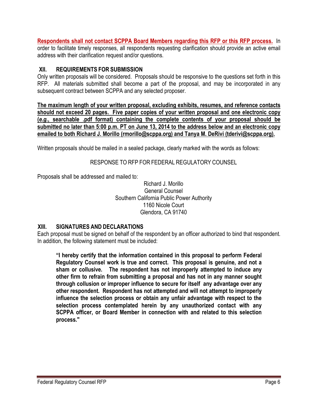**Respondents shall not contact SCPPA Board Members regarding this RFP or this RFP process.** In order to facilitate timely responses, all respondents requesting clarification should provide an active email address with their clarification request and/or questions.

#### **XII. REQUIREMENTS FOR SUBMISSION**

Only written proposals will be considered. Proposals should be responsive to the questions set forth in this RFP. All materials submitted shall become a part of the proposal, and may be incorporated in any subsequent contract between SCPPA and any selected proposer.

**The maximum length of your written proposal, excluding exhibits, resumes, and reference contacts should not exceed 20 pages. Five paper copies of your written proposal and one electronic copy (***e.g.***, searchable .pdf format) containing the complete contents of your proposal should be submitted no later than 5:00 p.m. PT on June 13, 2014 to the address below and an electronic copy emailed to both Richard J. Morillo (rmorillo@scppa.org) and Tanya M. DeRivi (tderivi@scppa.org).**

Written proposals should be mailed in a sealed package, clearly marked with the words as follows:

## RESPONSE TO RFP FOR FEDERAL REGULATORY COUNSEL

Proposals shall be addressed and mailed to:

Richard J. Morillo General Counsel Southern California Public Power Authority 1160 Nicole Court Glendora, CA 91740

#### **XIII. SIGNATURES AND DECLARATIONS**

Each proposal must be signed on behalf of the respondent by an officer authorized to bind that respondent. In addition, the following statement must be included:

**"I hereby certify that the information contained in this proposal to perform Federal Regulatory Counsel work is true and correct. This proposal is genuine, and not a sham or collusive. The respondent has not improperly attempted to induce any other firm to refrain from submitting a proposal and has not in any manner sought through collusion or improper influence to secure for itself any advantage over any other respondent. Respondent has not attempted and will not attempt to improperly influence the selection process or obtain any unfair advantage with respect to the selection process contemplated herein by any unauthorized contact with any SCPPA officer, or Board Member in connection with and related to this selection process."**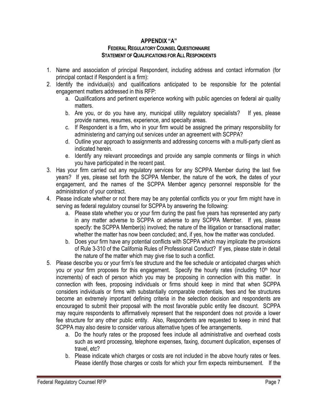#### **APPENDIX "A" FEDERALREGULATORYCOUNSELQUESTIONNAIRE STATEMENT OFQUALIFICATIONS FOR ALLRESPONDENTS**

- 1. Name and association of principal Respondent, including address and contact information (for principal contact if Respondent is a firm):
- 2. Identify the individual(s) and qualifications anticipated to be responsible for the potential engagement matters addressed in this RFP:
	- a. Qualifications and pertinent experience working with public agencies on federal air quality matters.
	- b. Are you, or do you have any, municipal utility regulatory specialists? If yes, please provide names, resumes, experience, and specialty areas.
	- c. If Respondent is a firm, who in your firm would be assigned the primary responsibility for administering and carrying out services under an agreement with SCPPA?
	- d. Outline your approach to assignments and addressing concerns with a multi-party client as indicated herein.
	- e. Identify any relevant proceedings and provide any sample comments or filings in which you have participated in the recent past.
- 3. Has your firm carried out any regulatory services for any SCPPA Member during the last five years? If yes, please set forth the SCPPA Member, the nature of the work, the dates of your engagement, and the names of the SCPPA Member agency personnel responsible for the administration of your contract.
- 4. Please indicate whether or not there may be any potential conflicts you or your firm might have in serving as federal regulatory counsel for SCPPA by answering the following:
	- a. Please state whether you or your firm during the past five years has represented any party in any matter adverse to SCPPA or adverse to any SCPPA Member. If yes, please specify: the SCPPA Member(s) involved; the nature of the litigation or transactional matter; whether the matter has now been concluded; and, if yes, how the matter was concluded.
	- b. Does your firm have any potential conflicts with SCPPA which may implicate the provisions of Rule 3-310 of the California Rules of Professional Conduct? If yes, please state in detail the nature of the matter which may give rise to such a conflict.
- 5. Please describe you or your firm's fee structure and the fee schedule or anticipated charges which you or your firm proposes for this engagement. Specify the hourly rates (including 10<sup>th</sup> hour increments) of each of person which you may be proposing in connection with this matter. In connection with fees, proposing individuals or firms should keep in mind that when SCPPA considers individuals or firms with substantially comparable credentials, fees and fee structures become an extremely important defining criteria in the selection decision and respondents are encouraged to submit their proposal with the most favorable public entity fee discount. SCPPA may require respondents to affirmatively represent that the respondent does not provide a lower fee structure for any other public entity. Also, Respondents are requested to keep in mind that SCPPA may also desire to consider various alternative types of fee arrangements.
	- a. Do the hourly rates or the proposed fees include all administrative and overhead costs such as word processing, telephone expenses, faxing, document duplication, expenses of travel, etc?
	- b. Please indicate which charges or costs are not included in the above hourly rates or fees. Please identify those charges or costs for which your firm expects reimbursement. If the